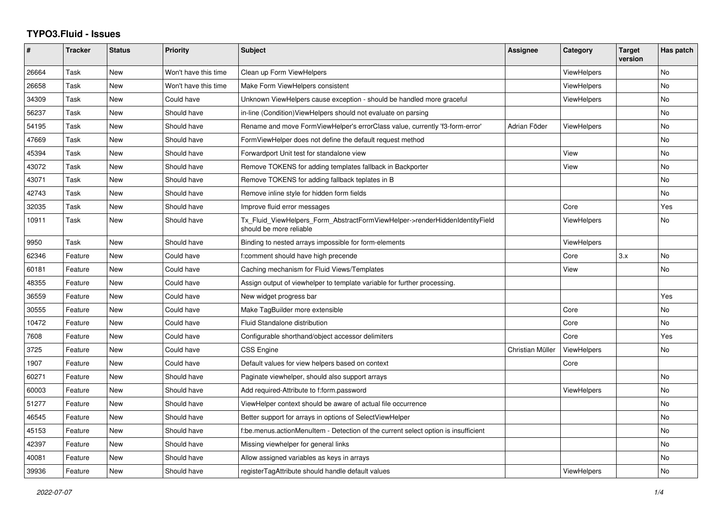## **TYPO3.Fluid - Issues**

| #     | <b>Tracker</b> | <b>Status</b> | <b>Priority</b>      | <b>Subject</b>                                                                                         | Assignee         | Category           | <b>Target</b><br>version | Has patch |
|-------|----------------|---------------|----------------------|--------------------------------------------------------------------------------------------------------|------------------|--------------------|--------------------------|-----------|
| 26664 | Task           | New           | Won't have this time | Clean up Form ViewHelpers                                                                              |                  | <b>ViewHelpers</b> |                          | No        |
| 26658 | Task           | New           | Won't have this time | Make Form ViewHelpers consistent                                                                       |                  | ViewHelpers        |                          | No.       |
| 34309 | Task           | New           | Could have           | Unknown ViewHelpers cause exception - should be handled more graceful                                  |                  | <b>ViewHelpers</b> |                          | <b>No</b> |
| 56237 | Task           | New           | Should have          | in-line (Condition) View Helpers should not evaluate on parsing                                        |                  |                    |                          | No.       |
| 54195 | Task           | New           | Should have          | Rename and move FormViewHelper's errorClass value, currently 'f3-form-error'                           | Adrian Föder     | <b>ViewHelpers</b> |                          | <b>No</b> |
| 47669 | Task           | New           | Should have          | FormViewHelper does not define the default request method                                              |                  |                    |                          | No        |
| 45394 | Task           | New           | Should have          | Forwardport Unit test for standalone view                                                              |                  | View               |                          | No        |
| 43072 | Task           | New           | Should have          | Remove TOKENS for adding templates fallback in Backporter                                              |                  | View               |                          | No        |
| 43071 | Task           | <b>New</b>    | Should have          | Remove TOKENS for adding fallback teplates in B                                                        |                  |                    |                          | <b>No</b> |
| 42743 | Task           | New           | Should have          | Remove inline style for hidden form fields                                                             |                  |                    |                          | No        |
| 32035 | Task           | New           | Should have          | Improve fluid error messages                                                                           |                  | Core               |                          | Yes       |
| 10911 | Task           | New           | Should have          | Tx Fluid ViewHelpers Form AbstractFormViewHelper->renderHiddenIdentityField<br>should be more reliable |                  | <b>ViewHelpers</b> |                          | No        |
| 9950  | Task           | New           | Should have          | Binding to nested arrays impossible for form-elements                                                  |                  | <b>ViewHelpers</b> |                          |           |
| 62346 | Feature        | New           | Could have           | f:comment should have high precende                                                                    |                  | Core               | 3.x                      | No        |
| 60181 | Feature        | <b>New</b>    | Could have           | Caching mechanism for Fluid Views/Templates                                                            |                  | View               |                          | <b>No</b> |
| 48355 | Feature        | New           | Could have           | Assign output of viewhelper to template variable for further processing.                               |                  |                    |                          |           |
| 36559 | Feature        | New           | Could have           | New widget progress bar                                                                                |                  |                    |                          | Yes       |
| 30555 | Feature        | <b>New</b>    | Could have           | Make TagBuilder more extensible                                                                        |                  | Core               |                          | <b>No</b> |
| 10472 | Feature        | New           | Could have           | <b>Fluid Standalone distribution</b>                                                                   |                  | Core               |                          | <b>No</b> |
| 7608  | Feature        | New           | Could have           | Configurable shorthand/object accessor delimiters                                                      |                  | Core               |                          | Yes       |
| 3725  | Feature        | New           | Could have           | <b>CSS Engine</b>                                                                                      | Christian Müller | ViewHelpers        |                          | No        |
| 1907  | Feature        | New           | Could have           | Default values for view helpers based on context                                                       |                  | Core               |                          |           |
| 60271 | Feature        | New           | Should have          | Paginate viewhelper, should also support arrays                                                        |                  |                    |                          | No        |
| 60003 | Feature        | <b>New</b>    | Should have          | Add required-Attribute to f:form.password                                                              |                  | <b>ViewHelpers</b> |                          | <b>No</b> |
| 51277 | Feature        | New           | Should have          | ViewHelper context should be aware of actual file occurrence                                           |                  |                    |                          | <b>No</b> |
| 46545 | Feature        | New           | Should have          | Better support for arrays in options of SelectViewHelper                                               |                  |                    |                          | No        |
| 45153 | Feature        | New           | Should have          | f:be.menus.actionMenuItem - Detection of the current select option is insufficient                     |                  |                    |                          | No        |
| 42397 | Feature        | <b>New</b>    | Should have          | Missing viewhelper for general links                                                                   |                  |                    |                          | <b>No</b> |
| 40081 | Feature        | New           | Should have          | Allow assigned variables as keys in arrays                                                             |                  |                    |                          | No        |
| 39936 | Feature        | <b>New</b>    | Should have          | registerTagAttribute should handle default values                                                      |                  | <b>ViewHelpers</b> |                          | No        |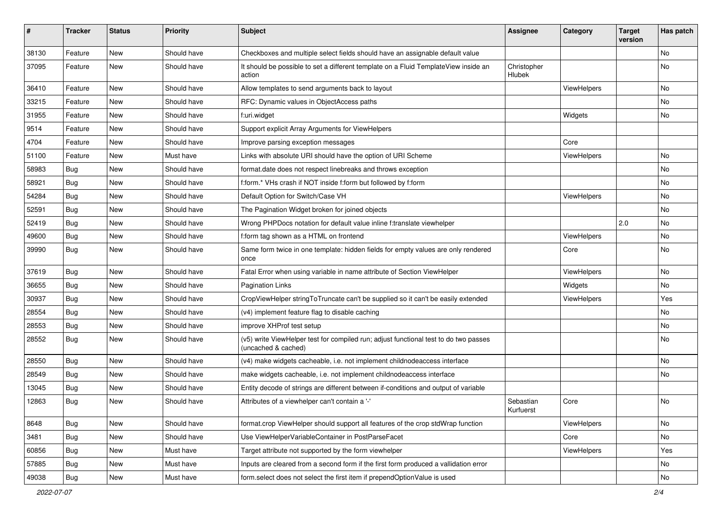| #     | <b>Tracker</b> | <b>Status</b> | <b>Priority</b> | Subject                                                                                                     | <b>Assignee</b>        | Category    | <b>Target</b><br>version | Has patch |
|-------|----------------|---------------|-----------------|-------------------------------------------------------------------------------------------------------------|------------------------|-------------|--------------------------|-----------|
| 38130 | Feature        | <b>New</b>    | Should have     | Checkboxes and multiple select fields should have an assignable default value                               |                        |             |                          | No        |
| 37095 | Feature        | New           | Should have     | It should be possible to set a different template on a Fluid TemplateView inside an<br>action               | Christopher<br>Hlubek  |             |                          | No        |
| 36410 | Feature        | New           | Should have     | Allow templates to send arguments back to layout                                                            |                        | ViewHelpers |                          | No        |
| 33215 | Feature        | New           | Should have     | RFC: Dynamic values in ObjectAccess paths                                                                   |                        |             |                          | No        |
| 31955 | Feature        | <b>New</b>    | Should have     | f:uri.widget                                                                                                |                        | Widgets     |                          | No        |
| 9514  | Feature        | New           | Should have     | Support explicit Array Arguments for ViewHelpers                                                            |                        |             |                          |           |
| 4704  | Feature        | New           | Should have     | Improve parsing exception messages                                                                          |                        | Core        |                          |           |
| 51100 | Feature        | <b>New</b>    | Must have       | Links with absolute URI should have the option of URI Scheme                                                |                        | ViewHelpers |                          | No        |
| 58983 | Bug            | New           | Should have     | format.date does not respect linebreaks and throws exception                                                |                        |             |                          | No.       |
| 58921 | Bug            | New           | Should have     | f:form.* VHs crash if NOT inside f:form but followed by f:form                                              |                        |             |                          | No        |
| 54284 | <b>Bug</b>     | New           | Should have     | Default Option for Switch/Case VH                                                                           |                        | ViewHelpers |                          | No        |
| 52591 | <b>Bug</b>     | <b>New</b>    | Should have     | The Pagination Widget broken for joined objects                                                             |                        |             |                          | No        |
| 52419 | <b>Bug</b>     | <b>New</b>    | Should have     | Wrong PHPDocs notation for default value inline f:translate viewhelper                                      |                        |             | 2.0                      | No        |
| 49600 | Bug            | New           | Should have     | f:form tag shown as a HTML on frontend                                                                      |                        | ViewHelpers |                          | No.       |
| 39990 | Bug            | New           | Should have     | Same form twice in one template: hidden fields for empty values are only rendered<br>once                   |                        | Core        |                          | No        |
| 37619 | Bug            | New           | Should have     | Fatal Error when using variable in name attribute of Section ViewHelper                                     |                        | ViewHelpers |                          | No        |
| 36655 | Bug            | New           | Should have     | <b>Pagination Links</b>                                                                                     |                        | Widgets     |                          | No.       |
| 30937 | Bug            | New           | Should have     | CropViewHelper stringToTruncate can't be supplied so it can't be easily extended                            |                        | ViewHelpers |                          | Yes       |
| 28554 | Bug            | New           | Should have     | (v4) implement feature flag to disable caching                                                              |                        |             |                          | No        |
| 28553 | Bug            | <b>New</b>    | Should have     | improve XHProf test setup                                                                                   |                        |             |                          | No        |
| 28552 | Bug            | New           | Should have     | (v5) write ViewHelper test for compiled run; adjust functional test to do two passes<br>(uncached & cached) |                        |             |                          | No        |
| 28550 | Bug            | <b>New</b>    | Should have     | (v4) make widgets cacheable, i.e. not implement childnodeaccess interface                                   |                        |             |                          | No        |
| 28549 | <b>Bug</b>     | New           | Should have     | make widgets cacheable, i.e. not implement childnodeaccess interface                                        |                        |             |                          | No        |
| 13045 | Bug            | <b>New</b>    | Should have     | Entity decode of strings are different between if-conditions and output of variable                         |                        |             |                          |           |
| 12863 | Bug            | New           | Should have     | Attributes of a viewhelper can't contain a '-'                                                              | Sebastian<br>Kurfuerst | Core        |                          | No        |
| 8648  | Bug            | New           | Should have     | format.crop ViewHelper should support all features of the crop stdWrap function                             |                        | ViewHelpers |                          | No        |
| 3481  | Bug            | New           | Should have     | Use ViewHelperVariableContainer in PostParseFacet                                                           |                        | Core        |                          | No        |
| 60856 | Bug            | New           | Must have       | Target attribute not supported by the form viewhelper                                                       |                        | ViewHelpers |                          | Yes       |
| 57885 | Bug            | New           | Must have       | Inputs are cleared from a second form if the first form produced a vallidation error                        |                        |             |                          | No        |
| 49038 | <b>Bug</b>     | New           | Must have       | form.select does not select the first item if prependOptionValue is used                                    |                        |             |                          | No        |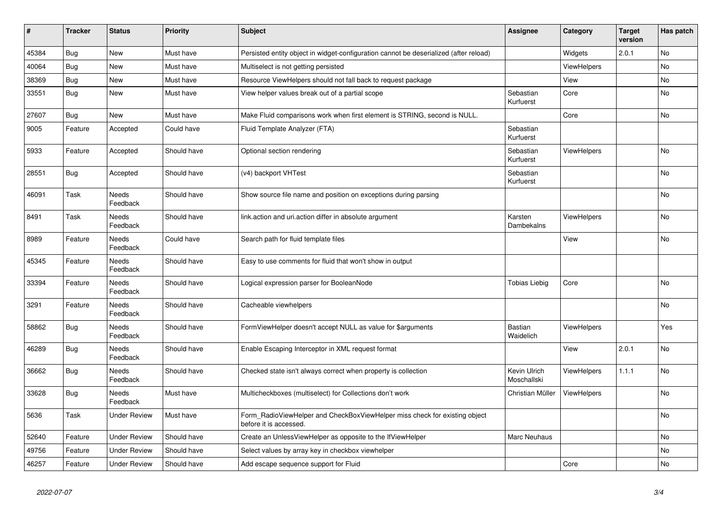| #     | <b>Tracker</b> | <b>Status</b>            | <b>Priority</b> | <b>Subject</b>                                                                                       | <b>Assignee</b>             | Category           | <b>Target</b><br>version | Has patch      |
|-------|----------------|--------------------------|-----------------|------------------------------------------------------------------------------------------------------|-----------------------------|--------------------|--------------------------|----------------|
| 45384 | Bug            | <b>New</b>               | Must have       | Persisted entity object in widget-configuration cannot be deserialized (after reload)                |                             | Widgets            | 2.0.1                    | <b>No</b>      |
| 40064 | Bug            | <b>New</b>               | Must have       | Multiselect is not getting persisted                                                                 |                             | <b>ViewHelpers</b> |                          | No             |
| 38369 | Bug            | New                      | Must have       | Resource ViewHelpers should not fall back to request package                                         |                             | View               |                          | N <sub>o</sub> |
| 33551 | Bug            | New                      | Must have       | View helper values break out of a partial scope                                                      | Sebastian<br>Kurfuerst      | Core               |                          | N <sub>o</sub> |
| 27607 | Bug            | <b>New</b>               | Must have       | Make Fluid comparisons work when first element is STRING, second is NULL.                            |                             | Core               |                          | No             |
| 9005  | Feature        | Accepted                 | Could have      | Fluid Template Analyzer (FTA)                                                                        | Sebastian<br>Kurfuerst      |                    |                          |                |
| 5933  | Feature        | Accepted                 | Should have     | Optional section rendering                                                                           | Sebastian<br>Kurfuerst      | <b>ViewHelpers</b> |                          | No             |
| 28551 | Bug            | Accepted                 | Should have     | (v4) backport VHTest                                                                                 | Sebastian<br>Kurfuerst      |                    |                          | No             |
| 46091 | Task           | Needs<br>Feedback        | Should have     | Show source file name and position on exceptions during parsing                                      |                             |                    |                          | No             |
| 8491  | Task           | <b>Needs</b><br>Feedback | Should have     | link.action and uri.action differ in absolute argument                                               | Karsten<br>Dambekalns       | <b>ViewHelpers</b> |                          | No             |
| 8989  | Feature        | Needs<br>Feedback        | Could have      | Search path for fluid template files                                                                 |                             | View               |                          | No             |
| 45345 | Feature        | <b>Needs</b><br>Feedback | Should have     | Easy to use comments for fluid that won't show in output                                             |                             |                    |                          |                |
| 33394 | Feature        | Needs<br>Feedback        | Should have     | Logical expression parser for BooleanNode                                                            | <b>Tobias Liebig</b>        | Core               |                          | No             |
| 3291  | Feature        | Needs<br>Feedback        | Should have     | Cacheable viewhelpers                                                                                |                             |                    |                          | N <sub>o</sub> |
| 58862 | Bug            | Needs<br>Feedback        | Should have     | FormViewHelper doesn't accept NULL as value for \$arguments                                          | Bastian<br>Waidelich        | <b>ViewHelpers</b> |                          | Yes            |
| 46289 | Bug            | Needs<br>Feedback        | Should have     | Enable Escaping Interceptor in XML request format                                                    |                             | View               | 2.0.1                    | No             |
| 36662 | Bug            | Needs<br>Feedback        | Should have     | Checked state isn't always correct when property is collection                                       | Kevin Ulrich<br>Moschallski | <b>ViewHelpers</b> | 1.1.1                    | No.            |
| 33628 | Bug            | <b>Needs</b><br>Feedback | Must have       | Multicheckboxes (multiselect) for Collections don't work                                             | Christian Müller            | <b>ViewHelpers</b> |                          | <b>No</b>      |
| 5636  | Task           | Under Review             | Must have       | Form_RadioViewHelper and CheckBoxViewHelper miss check for existing object<br>before it is accessed. |                             |                    |                          | No             |
| 52640 | Feature        | <b>Under Review</b>      | Should have     | Create an UnlessViewHelper as opposite to the IfViewHelper                                           | Marc Neuhaus                |                    |                          | No             |
| 49756 | Feature        | <b>Under Review</b>      | Should have     | Select values by array key in checkbox viewhelper                                                    |                             |                    |                          | No             |
| 46257 | Feature        | <b>Under Review</b>      | Should have     | Add escape sequence support for Fluid                                                                |                             | Core               |                          | No             |